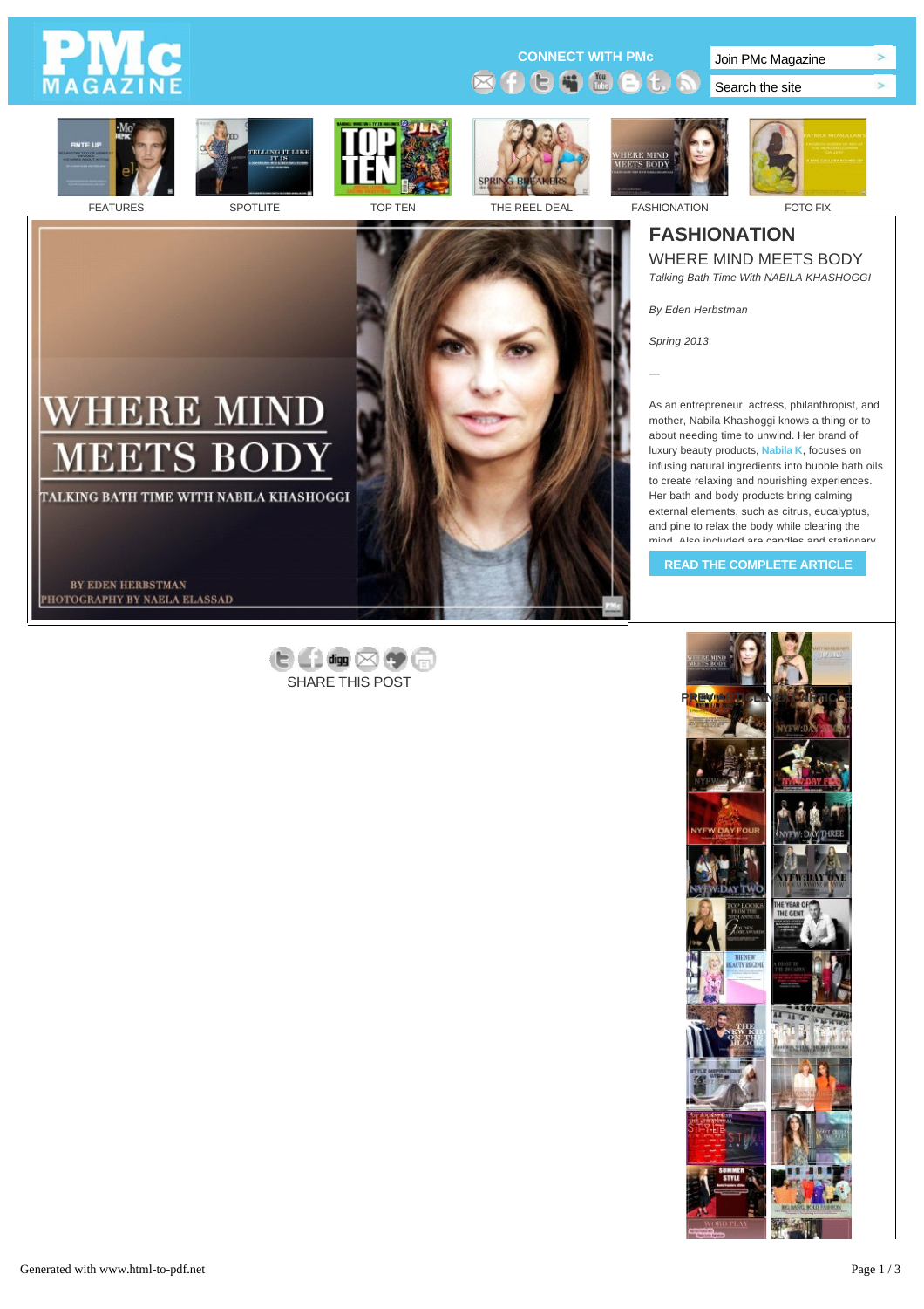# A G

**CONNECT WITH PMc** Join PMc Magazine **ØOCGBOt** 

Search the site





E M

В

'S

BY EDEN HERBSTMAN PHOTOGRAPHY BY NAELA ELASSAD

TALKING BATH TIME WITH NABILA KHASHOGGI







 $\geq$ 

 $\sim$ 

## **[FASHION](http://pmc-mag.com/category/after-dark/)ATION**

WHERE MIN[D MEETS BODY](http://pmc-mag.com/category/xtra-xtra/) *Talking Bath Time With NABILA KHASHOGGI*

*By Eden Herbstman*

*Spring 2013*

*—*

As an entrepreneur, actress, philanthropist, and mother, Nabila Khashoggi knows a thing or to about needing time to unwind. Her brand of luxury beauty products, **[Nabila K](http://nabilak.com/)**, focuses on infusing natural ingredients into bubble bath oils to create relaxing and nourishing experiences. Her bath and body products bring calming external elements, such as citrus, eucalyptus, and pine to relax the body while clearing the mind. Also included are candles and stationary

**[READ THE COMPLETE ARTICLE](http://pmc-mag.com/2013/03/nabila-k/?full=content)**



 $\theta$  and  $\otimes$   $\phi$ SHARE THIS POST